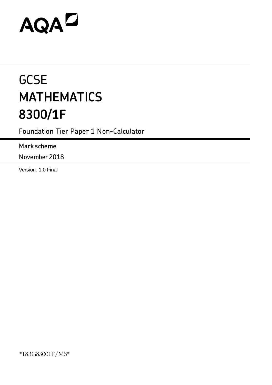# AQAZ

# **GCSE MATHEMATICS 8300/1F**

Foundation Tier Paper 1 Non-Calculator

# **Mark scheme**

November 2018

Version: 1.0 Final

\*18BG83001F/MS\*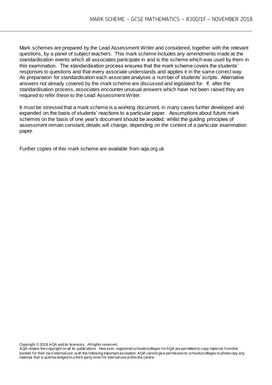Mark schemes are prepared by the Lead Assessment Writer and considered, together with the relevant questions, by a panel of subject teachers. This mark scheme includes any amendments made at the standardisation events which all associates participate in and is the scheme which was used by them in this examination. The standardisation process ensures that the mark scheme covers the students' responses to questions and that every associate understands and applies it in the same correct way. As preparation for standardisation each associate analyses a number of students' scripts. Alternative answers not already covered by the mark scheme are discussed and legislated for. If, after the standardisation process, associates encounter unusual answers which have not been raised they are required to refer these to the Lead Assessment Writer.

It must be stressed that a mark scheme is a working document, in many cases further developed and expanded on the basis of students' reactions to a particular paper. Assumptions about future mark schemes on the basis of one year's document should be avoided; whilst the guiding principles of assessment remain constant, details will change, depending on the content of a particular examination paper.

Further copies of this mark scheme are available from aqa.org.uk

Copyright © 2018 AQA and its licensors. All rights reserved.

AQA retains the copyright on all its publications. How ever, registered schools/colleges for AQA are permitted to copy material from this booklet for their ow n internal use, w ith the following important exception: AQA cannot give permission to schools/colleges to photocopy any material that is acknow ledged to a third party even for internal use w ithin the centre.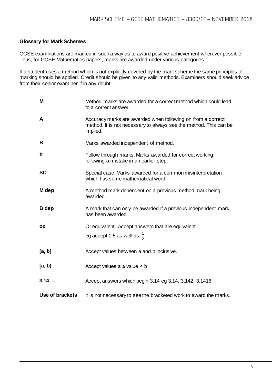#### **Glossary for Mark Schemes**

GCSE examinations are marked in such a way as to award positive achievement wherever possible. Thus, for GCSE Mathematics papers, marks are awarded under various categories.

If a student uses a method which is not explicitly covered by the mark scheme the same principles of marking should be applied. Credit should be given to any valid methods. Examiners should seek advice from their senior examiner if in any doubt.

| M               | Method marks are awarded for a correct method which could lead<br>to a correct answer.                                                       |
|-----------------|----------------------------------------------------------------------------------------------------------------------------------------------|
| A               | Accuracy marks are awarded when following on from a correct<br>method. It is not necessary to always see the method. This can be<br>implied. |
| B               | Marks awarded independent of method.                                                                                                         |
| ft              | Follow through marks. Marks awarded for correct working<br>following a mistake in an earlier step.                                           |
| <b>SC</b>       | Special case. Marks awarded for a common misinterpretation<br>which has some mathematical worth.                                             |
| M dep           | A method mark dependent on a previous method mark being<br>awarded.                                                                          |
| <b>B</b> dep    | A mark that can only be awarded if a previous independent mark<br>has been awarded.                                                          |
| <b>oe</b>       | Or equivalent. Accept answers that are equivalent.                                                                                           |
|                 | eg accept 0.5 as well as $\frac{1}{2}$                                                                                                       |
| [a, b]          | Accept values between a and b inclusive.                                                                                                     |
| [a, b)          | Accept values $a \leq$ value $\leq b$                                                                                                        |
| 3.14            | Accept answers which begin 3.14 eg 3.14, 3.142, 3.1416                                                                                       |
| Use of brackets | It is not necessary to see the bracketed work to award the marks.                                                                            |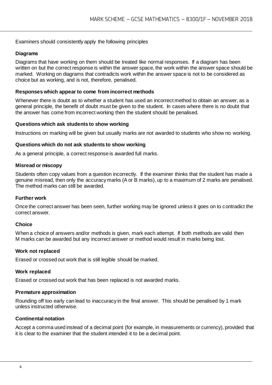Examiners should consistently apply the following principles

#### **Diagrams**

Diagrams that have working on them should be treated like normal responses. If a diagram has been written on but the correct response is within the answer space, the work within the answer space should be marked. Working on diagrams that contradicts work within the answer space is not to be considered as choice but as working, and is not, therefore, penalised.

#### **Responses which appear to come from incorrect methods**

Whenever there is doubt as to whether a student has used an incorrect method to obtain an answer, as a general principle, the benefit of doubt must be given to the student. In cases where there is no doubt that the answer has come from incorrect working then the student should be penalised.

#### **Questions which ask students to show working**

Instructions on marking will be given but usually marks are not awarded to students who show no working.

#### **Questions which do not ask students to show working**

As a general principle, a correct response is awarded full marks.

#### **Misread or miscopy**

Students often copy values from a question incorrectly. If the examiner thinks that the student has made a genuine misread, then only the accuracy marks (A or B marks), up to a maximum of 2 marks are penalised. The method marks can still be awarded.

#### **Further work**

Once the correct answer has been seen, further working may be ignored unless it goes on to contradict the correct answer.

#### **Choice**

When a choice of answers and/or methods is given, mark each attempt. If both methods are valid then M marks can be awarded but any incorrect answer or method would result in marks being lost.

#### **Work not replaced**

Erased or crossed out work that is still legible should be marked.

#### **Work replaced**

Erased or crossed out work that has been replaced is not awarded marks.

#### **Premature approximation**

Rounding off too early can lead to inaccuracy in the final answer. This should be penalised by 1 mark unless instructed otherwise.

#### **Continental notation**

Accept a comma used instead of a decimal point (for example, in measurements or currency), provided that it is clear to the examiner that the student intended it to be a decimal point.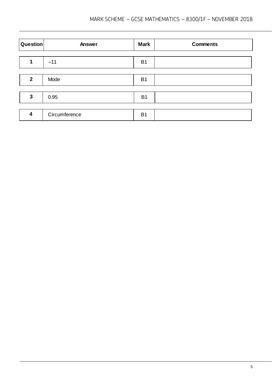| Question                | Answer        | <b>Mark</b>    | <b>Comments</b> |
|-------------------------|---------------|----------------|-----------------|
|                         |               |                |                 |
|                         | $-11$         | <b>B1</b>      |                 |
|                         |               |                |                 |
| $\mathbf{2}$            | Mode          | <b>B1</b>      |                 |
|                         |               |                |                 |
| 3                       | 0.95          | <b>B1</b>      |                 |
|                         |               |                |                 |
| $\overline{\mathbf{4}}$ | Circumference | B <sub>1</sub> |                 |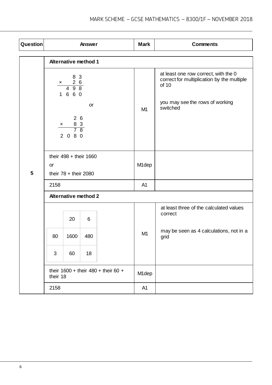| Question |                                                                                                                                                             |                                                                       | Answer | <b>Mark</b>    | <b>Comments</b>                                                                                                                            |
|----------|-------------------------------------------------------------------------------------------------------------------------------------------------------------|-----------------------------------------------------------------------|--------|----------------|--------------------------------------------------------------------------------------------------------------------------------------------|
|          |                                                                                                                                                             | <b>Alternative method 1</b>                                           |        |                |                                                                                                                                            |
|          | 8 3<br>$\begin{array}{@{}c@{\hspace{1em}}c@{\hspace{1em}}c@{\hspace{1em}}}\n \times & & 2 & 6 \\ \hline\n & 4 & 9 & 8\n \end{array}$<br>1 6 6 0<br>or<br>26 |                                                                       |        | M <sub>1</sub> | at least one row correct, with the 0<br>correct for multiplication by the multiple<br>of 10<br>you may see the rows of working<br>switched |
|          |                                                                                                                                                             | $\frac{8}{7} \frac{3}{8}$<br>$\frac{\mathsf{x}}{\phantom{1}}$<br>2080 |        |                |                                                                                                                                            |
| 5        | their $498 +$ their 1660<br>or<br>their $78 +$ their 2080                                                                                                   |                                                                       |        | M1dep          |                                                                                                                                            |
|          | 2158                                                                                                                                                        |                                                                       |        | A <sub>1</sub> |                                                                                                                                            |
|          |                                                                                                                                                             | <b>Alternative method 2</b>                                           |        |                |                                                                                                                                            |
|          |                                                                                                                                                             | 20                                                                    | 6      |                | at least three of the calculated values<br>correct                                                                                         |
|          | 80                                                                                                                                                          | 1600                                                                  | 480    | M <sub>1</sub> | may be seen as 4 calculations, not in a<br>grid                                                                                            |
|          | 3                                                                                                                                                           | 60                                                                    | 18     |                |                                                                                                                                            |
|          | their $1600 +$ their $480 +$ their 60 +<br>their 18                                                                                                         |                                                                       |        | M1dep          |                                                                                                                                            |
|          | 2158                                                                                                                                                        |                                                                       |        | A <sub>1</sub> |                                                                                                                                            |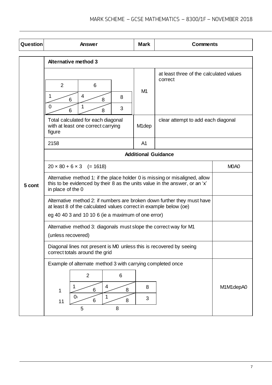| Question | Answer                                                                                                                                                                                             | <b>Mark</b>                   | <b>Comments</b>                                    |  |  |
|----------|----------------------------------------------------------------------------------------------------------------------------------------------------------------------------------------------------|-------------------------------|----------------------------------------------------|--|--|
|          | <b>Alternative method 3</b>                                                                                                                                                                        |                               |                                                    |  |  |
|          | $\overline{2}$<br>6<br>1<br>4<br>8<br>6<br>8<br>$\overline{0}$<br>1<br>3<br>8<br>6                                                                                                                 | M <sub>1</sub>                | at least three of the calculated values<br>correct |  |  |
|          | Total calculated for each diagonal<br>with at least one correct carrying<br>figure                                                                                                                 | M <sub>1</sub> dep            | clear attempt to add each diagonal                 |  |  |
|          | 2158                                                                                                                                                                                               | A <sub>1</sub>                |                                                    |  |  |
|          |                                                                                                                                                                                                    | <b>Additional Guidance</b>    |                                                    |  |  |
|          | $20 \times 80 + 6 \times 3$ (= 1618)                                                                                                                                                               | M <sub>0</sub> A <sub>0</sub> |                                                    |  |  |
| 5 cont   | Alternative method 1: if the place holder 0 is missing or misaligned, allow<br>this to be evidenced by their 8 as the units value in the answer, or an 'x'<br>in place of the 0                    |                               |                                                    |  |  |
|          | Alternative method 2: if numbers are broken down further they must have<br>at least 8 of the calculated values correct in example below (oe)<br>eg 40 40 3 and 10 10 6 (ie a maximum of one error) |                               |                                                    |  |  |
|          | Alternative method 3: diagonals must slope the correct way for M1<br>(unless recovered)                                                                                                            |                               |                                                    |  |  |
|          | Diagonal lines not present is M0 unless this is recovered by seeing<br>correct totals around the grid                                                                                              |                               |                                                    |  |  |
|          | Example of alternate method 3 with carrying completed once<br>$\overline{2}$<br>6<br>4<br>1<br>6<br>8<br>1<br>0 <sub>1</sub><br>1<br>8<br>6<br>11<br>8<br>5                                        | M1M1depA0                     |                                                    |  |  |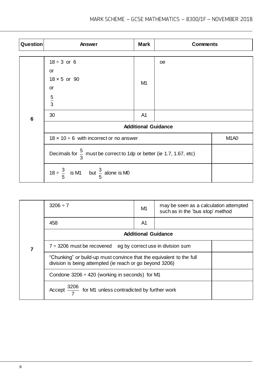| Question        | Answer                                                                          | <b>Mark</b>                   | <b>Comments</b> |  |  |
|-----------------|---------------------------------------------------------------------------------|-------------------------------|-----------------|--|--|
|                 |                                                                                 |                               |                 |  |  |
|                 | $18 \div 3$ or 6                                                                |                               | <b>oe</b>       |  |  |
|                 | or                                                                              |                               |                 |  |  |
|                 | $18 \times 5$ or 90                                                             | M <sub>1</sub>                |                 |  |  |
|                 | <b>or</b>                                                                       |                               |                 |  |  |
|                 | $\frac{5}{3}$                                                                   |                               |                 |  |  |
|                 |                                                                                 |                               |                 |  |  |
| $6\phantom{1}6$ | 30                                                                              | A <sub>1</sub>                |                 |  |  |
|                 | <b>Additional Guidance</b>                                                      |                               |                 |  |  |
|                 | $18 \times 10 \div 6$ with incorrect or no answer                               | M <sub>1</sub> A <sub>0</sub> |                 |  |  |
|                 | Decimals for $\frac{5}{3}$ must be correct to 1dp or better (ie 1.7, 1.67, etc) |                               |                 |  |  |
|                 | 18 ÷ $\frac{3}{5}$ is M1 but $\frac{3}{5}$ alone is M0                          |                               |                 |  |  |

|  | $3206 \div 7$                                                                                                                    | M1 | may be seen as a calculation attempted<br>such as in the 'bus stop' method |  |  |
|--|----------------------------------------------------------------------------------------------------------------------------------|----|----------------------------------------------------------------------------|--|--|
|  | 458                                                                                                                              | A1 |                                                                            |  |  |
|  | <b>Additional Guidance</b>                                                                                                       |    |                                                                            |  |  |
|  | $7 \div 3206$ must be recovered eg by correct use in division sum                                                                |    |                                                                            |  |  |
|  | "Chunking" or build-up must convince that the equivalent to the full<br>division is being attempted (ie reach or go beyond 3206) |    |                                                                            |  |  |
|  | Condone $3206 \div 420$ (working in seconds) for M1                                                                              |    |                                                                            |  |  |
|  | Accept $\frac{3206}{7}$ for M1 unless contradicted by further work                                                               |    |                                                                            |  |  |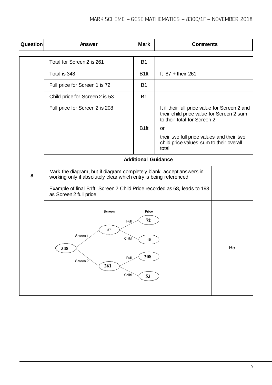| Question | Answer                                                                                                                                   | <b>Mark</b>       | <b>Comments</b>                                                                                                                |                |
|----------|------------------------------------------------------------------------------------------------------------------------------------------|-------------------|--------------------------------------------------------------------------------------------------------------------------------|----------------|
|          | Total for Screen 2 is 261                                                                                                                | <b>B1</b>         |                                                                                                                                |                |
|          | Total is 348                                                                                                                             | B <sub>1</sub> ft | ft $87 +$ their 261                                                                                                            |                |
|          | Full price for Screen 1 is 72                                                                                                            | <b>B1</b>         |                                                                                                                                |                |
|          | Child price for Screen 2 is 53                                                                                                           | <b>B1</b>         |                                                                                                                                |                |
|          | Full price for Screen 2 is 208                                                                                                           | B <sub>1ft</sub>  | ft if their full price value for Screen 2 and<br>their child price value for Screen 2 sum<br>to their total for Screen 2<br>or |                |
|          |                                                                                                                                          |                   | their two full price values and their two<br>child price values sum to their overall<br>total                                  |                |
|          | <b>Additional Guidance</b>                                                                                                               |                   |                                                                                                                                |                |
| 8        | Mark the diagram, but if diagram completely blank, accept answers in<br>working only if absolutely clear which entry is being referenced |                   |                                                                                                                                |                |
|          | Example of final B1ft: Screen 2 Child Price recorded as 68, leads to 193<br>as Screen 2 full price                                       |                   |                                                                                                                                |                |
|          | Screen<br>Price<br>72<br>Full<br>87<br>Screen 1<br>Child<br>15<br>348<br>208<br>Full<br>Screen 2<br>261<br>Child<br>53                   |                   |                                                                                                                                | B <sub>5</sub> |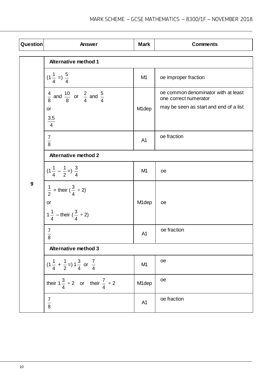| Question         | Answer                                                              | <b>Mark</b>        | <b>Comments</b>                                              |  |  |
|------------------|---------------------------------------------------------------------|--------------------|--------------------------------------------------------------|--|--|
|                  | <b>Alternative method 1</b>                                         |                    |                                                              |  |  |
|                  | $(1\frac{1}{4}) = \frac{5}{4}$                                      | M <sub>1</sub>     | oe improper fraction                                         |  |  |
|                  | $\frac{4}{8}$ and $\frac{10}{8}$ or $\frac{2}{4}$ and $\frac{5}{4}$ |                    | oe common denominator with at least<br>one correct numerator |  |  |
|                  | <b>or</b><br>$\frac{3.5}{4}$                                        | M <sub>1</sub> dep | may be seen as start and end of a list                       |  |  |
|                  | $\frac{7}{8}$                                                       | A <sub>1</sub>     | oe fraction                                                  |  |  |
|                  | <b>Alternative method 2</b>                                         |                    |                                                              |  |  |
|                  | $(1\frac{1}{4} - \frac{1}{2})\frac{3}{4}$                           | M <sub>1</sub>     | oe                                                           |  |  |
| $\boldsymbol{9}$ | $\frac{1}{2}$ + their ( $\frac{3}{4} \div 2$ )<br>or                | M <sub>1</sub> dep | oe                                                           |  |  |
|                  | $1\frac{1}{4}$ – their $(\frac{3}{4} \div 2)$                       |                    |                                                              |  |  |
|                  | $\frac{7}{8}$                                                       | A <sub>1</sub>     | oe fraction                                                  |  |  |
|                  | <b>Alternative method 3</b>                                         |                    |                                                              |  |  |
|                  | $(1\frac{1}{4} + \frac{1}{2})1\frac{3}{4}$ or $\frac{7}{4}$         | M <sub>1</sub>     | oe                                                           |  |  |
|                  | their $1\frac{3}{4} \div 2$ or their $\frac{7}{4} \div 2$           | M1dep              | oe                                                           |  |  |
|                  | $\frac{7}{8}$                                                       | A <sub>1</sub>     | oe fraction                                                  |  |  |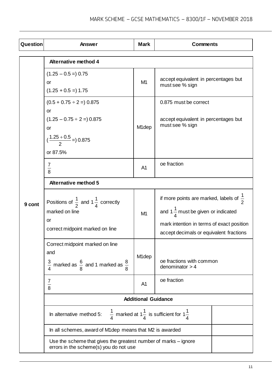| Question | <b>Answer</b>                                                                                                        | <b>Mark</b>        | <b>Comments</b>                                                                                                                                                                              |  |  |  |
|----------|----------------------------------------------------------------------------------------------------------------------|--------------------|----------------------------------------------------------------------------------------------------------------------------------------------------------------------------------------------|--|--|--|
|          | <b>Alternative method 4</b>                                                                                          |                    |                                                                                                                                                                                              |  |  |  |
|          | $(1.25 - 0.5 =) 0.75$<br>or<br>$(1.25 + 0.5 = 1.75)$                                                                 | M <sub>1</sub>     | accept equivalent in percentages but<br>must see % sign                                                                                                                                      |  |  |  |
| 9 cont   | $(0.5 + 0.75 \div 2 = 0.875$<br>or<br>$(1.25 - 0.75 \div 2 = 0.875$<br>or<br>$\left(\frac{1.25+0.5}{2}\right)$ 0.875 | M <sub>1</sub> dep | 0.875 must be correct<br>accept equivalent in percentages but<br>must see % sign                                                                                                             |  |  |  |
|          | or 87.5%<br>7<br>$\frac{1}{8}$                                                                                       | A <sub>1</sub>     | oe fraction                                                                                                                                                                                  |  |  |  |
|          | <b>Alternative method 5</b>                                                                                          |                    |                                                                                                                                                                                              |  |  |  |
|          | Positions of $\frac{1}{2}$ and 1 $\frac{1}{4}$ correctly<br>marked on line<br>or<br>correct midpoint marked on line  | M <sub>1</sub>     | if more points are marked, labels of $\frac{1}{2}$<br>and 1 $\frac{1}{4}$ must be given or indicated<br>mark intention in terms of exact position<br>accept decimals or equivalent fractions |  |  |  |
|          | Correct midpoint marked on line<br>and<br>$\frac{3}{4}$ marked as $\frac{6}{8}$ and 1 marked as $\frac{8}{8}$        | M <sub>1</sub> dep | oe fractions with common<br>denominator $> 4$                                                                                                                                                |  |  |  |
|          | 7<br>$\frac{1}{8}$                                                                                                   | A <sub>1</sub>     | oe fraction                                                                                                                                                                                  |  |  |  |
|          | <b>Additional Guidance</b>                                                                                           |                    |                                                                                                                                                                                              |  |  |  |
|          | In alternative method 5:                                                                                             |                    | $\frac{1}{4}$ marked at $1\frac{1}{4}$ is sufficient for $1\frac{1}{4}$                                                                                                                      |  |  |  |
|          | In all schemes, award of M1dep means that M2 is awarded                                                              |                    |                                                                                                                                                                                              |  |  |  |
|          | Use the scheme that gives the greatest number of marks – ignore<br>errors in the scheme(s) you do not use            |                    |                                                                                                                                                                                              |  |  |  |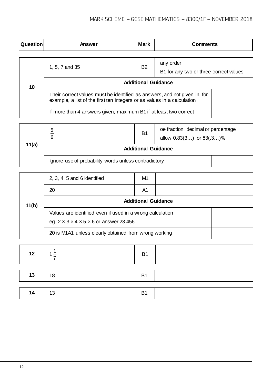| <b>Question</b> | Answer                                                                                                                                               | <b>Mark</b> | <b>Comments</b>                                     |  |  |  |
|-----------------|------------------------------------------------------------------------------------------------------------------------------------------------------|-------------|-----------------------------------------------------|--|--|--|
|                 |                                                                                                                                                      |             |                                                     |  |  |  |
| 10              | 1, 5, 7 and 35                                                                                                                                       | <b>B2</b>   | any order<br>B1 for any two or three correct values |  |  |  |
|                 | <b>Additional Guidance</b>                                                                                                                           |             |                                                     |  |  |  |
|                 | Their correct values must be identified as answers, and not given in, for<br>example, a list of the first ten integers or as values in a calculation |             |                                                     |  |  |  |
|                 | If more than 4 answers given, maximum B1 if at least two correct                                                                                     |             |                                                     |  |  |  |

| 11(a) | 5<br>6                                               | <b>B1</b> | oe fraction, decimal or percentage<br>allow $0.83(3)$ or $83(.3)$ % |  |
|-------|------------------------------------------------------|-----------|---------------------------------------------------------------------|--|
|       | <b>Additional Guidance</b>                           |           |                                                                     |  |
|       | Ignore use of probability words unless contradictory |           |                                                                     |  |

| 11(b) | $2, 3, 4, 5$ and 6 identified                               | M1 |  |  |  |
|-------|-------------------------------------------------------------|----|--|--|--|
|       | 20                                                          | A1 |  |  |  |
|       | <b>Additional Guidance</b>                                  |    |  |  |  |
|       | Values are identified even if used in a wrong calculation   |    |  |  |  |
|       | eg $2 \times 3 \times 4 \times 5 \times 6$ or answer 23 456 |    |  |  |  |
|       | 20 is M1A1 unless clearly obtained from wrong working       |    |  |  |  |

| 12 |    | <b>B1</b>      |  |
|----|----|----------------|--|
|    |    |                |  |
| 13 | 18 | <b>B1</b>      |  |
|    |    |                |  |
| 14 | 13 | B <sub>1</sub> |  |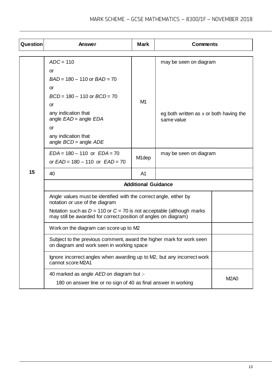| Question | <b>Mark</b><br><b>Comments</b><br>Answer                                                                                                    |                    |                                                         |             |  |  |  |  |
|----------|---------------------------------------------------------------------------------------------------------------------------------------------|--------------------|---------------------------------------------------------|-------------|--|--|--|--|
|          |                                                                                                                                             |                    |                                                         |             |  |  |  |  |
|          | $ADC = 110$                                                                                                                                 |                    | may be seen on diagram                                  |             |  |  |  |  |
|          | or                                                                                                                                          |                    |                                                         |             |  |  |  |  |
|          | $BAD = 180 - 110$ or $BAD = 70$                                                                                                             |                    |                                                         |             |  |  |  |  |
|          | <b>or</b>                                                                                                                                   |                    |                                                         |             |  |  |  |  |
|          | $BCD = 180 - 110$ or $BCD = 70$                                                                                                             |                    |                                                         |             |  |  |  |  |
|          | or                                                                                                                                          | M <sub>1</sub>     |                                                         |             |  |  |  |  |
|          | any indication that<br>angle $EAD$ = angle $EDA$                                                                                            |                    | eg both written as $x$ or both having the<br>same value |             |  |  |  |  |
|          | or                                                                                                                                          |                    |                                                         |             |  |  |  |  |
|          | any indication that<br>angle $BCD$ = angle $ADE$                                                                                            |                    |                                                         |             |  |  |  |  |
|          | $EDA = 180 - 110$ or $EDA = 70$                                                                                                             | M <sub>1</sub> dep | may be seen on diagram                                  |             |  |  |  |  |
|          | or $EAD = 180 - 110$ or $EAD = 70$                                                                                                          |                    |                                                         |             |  |  |  |  |
| 15       | 40                                                                                                                                          | A <sub>1</sub>     |                                                         |             |  |  |  |  |
|          | <b>Additional Guidance</b>                                                                                                                  |                    |                                                         |             |  |  |  |  |
|          | Angle values must be identified with the correct angle, either by<br>notation or use of the diagram                                         |                    |                                                         |             |  |  |  |  |
|          | Notation such as $D = 110$ or $C = 70$ is not acceptable (although marks<br>may still be awarded for correct position of angles on diagram) |                    |                                                         |             |  |  |  |  |
|          | Work on the diagram can score up to M2                                                                                                      |                    |                                                         |             |  |  |  |  |
|          | Subject to the previous comment, award the higher mark for work seen<br>on diagram and work seen in working space                           |                    |                                                         |             |  |  |  |  |
|          | Ignore incorrect angles when awarding up to M2, but any incorrect work<br>cannot score M2A1                                                 |                    |                                                         |             |  |  |  |  |
|          | 40 marked as angle AED on diagram but :-                                                                                                    |                    |                                                         |             |  |  |  |  |
|          | 180 on answer line or no sign of 40 as final answer in working                                                                              |                    |                                                         | <b>M2A0</b> |  |  |  |  |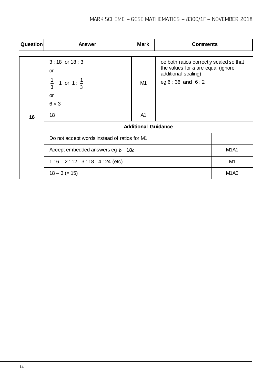| Question | Answer                                       | <b>Mark</b>    | <b>Comments</b>                                                                                      |  |  |  |  |  |  |  |
|----------|----------------------------------------------|----------------|------------------------------------------------------------------------------------------------------|--|--|--|--|--|--|--|
|          |                                              |                |                                                                                                      |  |  |  |  |  |  |  |
|          | $3:18$ or $18:3$<br>or                       |                | oe both ratios correctly scaled so that<br>the values for a are equal (ignore<br>additional scaling) |  |  |  |  |  |  |  |
|          | $\frac{1}{3}$ : 1 or 1 : $\frac{1}{3}$       | M1             | eg $6:36$ and $6:2$                                                                                  |  |  |  |  |  |  |  |
|          | <b>or</b>                                    |                |                                                                                                      |  |  |  |  |  |  |  |
|          | $6 \times 3$                                 |                |                                                                                                      |  |  |  |  |  |  |  |
| 16       | 18                                           | A <sub>1</sub> |                                                                                                      |  |  |  |  |  |  |  |
|          | <b>Additional Guidance</b>                   |                |                                                                                                      |  |  |  |  |  |  |  |
|          | Do not accept words instead of ratios for M1 |                |                                                                                                      |  |  |  |  |  |  |  |
|          | Accept embedded answers eg $b = 18c$         | <b>M1A1</b>    |                                                                                                      |  |  |  |  |  |  |  |
|          | $1:6$ 2:12 3:18 4:24 (etc)                   | M <sub>1</sub> |                                                                                                      |  |  |  |  |  |  |  |
|          | $18 - 3 (= 15)$                              |                |                                                                                                      |  |  |  |  |  |  |  |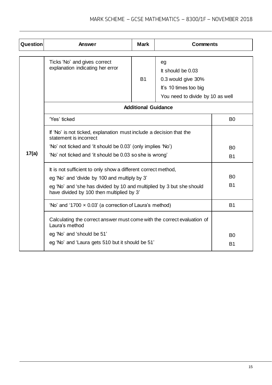| <b>Question</b> | <b>Mark</b><br><b>Comments</b><br>Answer                                                                           |                                  |  |                |  |  |  |  |  |  |
|-----------------|--------------------------------------------------------------------------------------------------------------------|----------------------------------|--|----------------|--|--|--|--|--|--|
|                 | Ticks 'No' and gives correct<br>explanation indicating her error                                                   | You need to divide by 10 as well |  |                |  |  |  |  |  |  |
|                 |                                                                                                                    | <b>Additional Guidance</b>       |  |                |  |  |  |  |  |  |
|                 | 'Yes' ticked                                                                                                       |                                  |  | B <sub>0</sub> |  |  |  |  |  |  |
|                 | If 'No' is not ticked, explanation must include a decision that the<br>statement is incorrect                      |                                  |  |                |  |  |  |  |  |  |
|                 | 'No' not ticked and 'it should be 0.03' (only implies 'No')                                                        | B <sub>0</sub>                   |  |                |  |  |  |  |  |  |
| 17(a)           | 'No' not ticked and 'it should be 0.03 so she is wrong'                                                            | <b>B1</b>                        |  |                |  |  |  |  |  |  |
|                 | It is not sufficient to only show a different correct method,                                                      |                                  |  |                |  |  |  |  |  |  |
|                 | eg 'No' and 'divide by 100 and multiply by 3'                                                                      | B <sub>0</sub>                   |  |                |  |  |  |  |  |  |
|                 | eg 'No' and 'she has divided by 10 and multiplied by 3 but she should<br>have divided by 100 then multiplied by 3' | <b>B1</b>                        |  |                |  |  |  |  |  |  |
|                 | 'No' and '1700 $\times$ 0.03' (a correction of Laura's method)                                                     |                                  |  | <b>B1</b>      |  |  |  |  |  |  |
|                 | Calculating the correct answer must come with the correct evaluation of<br>Laura's method                          |                                  |  |                |  |  |  |  |  |  |
|                 | eg 'No' and 'should be 51'                                                                                         |                                  |  | B <sub>0</sub> |  |  |  |  |  |  |
|                 | eg 'No' and 'Laura gets 510 but it should be 51'                                                                   |                                  |  | <b>B1</b>      |  |  |  |  |  |  |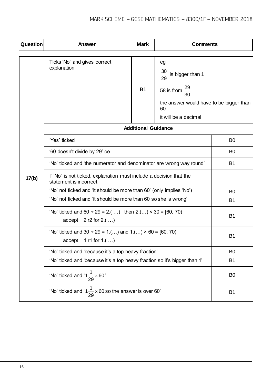| Question | <b>Mark</b><br><b>Comments</b><br>Answer                                                                  |                            |                                                                                                                                               |                |  |  |  |  |
|----------|-----------------------------------------------------------------------------------------------------------|----------------------------|-----------------------------------------------------------------------------------------------------------------------------------------------|----------------|--|--|--|--|
|          | Ticks 'No' and gives correct<br>explanation                                                               | <b>B1</b>                  | eg<br>$\frac{30}{29}$ is bigger than 1<br>58 is from $\frac{29}{30}$<br>the answer would have to be bigger than<br>60<br>it will be a decimal |                |  |  |  |  |
|          |                                                                                                           | <b>Additional Guidance</b> |                                                                                                                                               |                |  |  |  |  |
|          | 'Yes' ticked                                                                                              |                            |                                                                                                                                               | B <sub>0</sub> |  |  |  |  |
|          | '60 doesn't divide by 29' oe                                                                              | B <sub>0</sub>             |                                                                                                                                               |                |  |  |  |  |
|          | 'No' ticked and 'the numerator and denominator are wrong way round'                                       | <b>B1</b>                  |                                                                                                                                               |                |  |  |  |  |
| 17(b)    | If 'No' is not ticked, explanation must include a decision that the<br>statement is incorrect             |                            |                                                                                                                                               |                |  |  |  |  |
|          | 'No' not ticked and 'it should be more than 60' (only implies 'No')                                       | B <sub>0</sub>             |                                                                                                                                               |                |  |  |  |  |
|          | 'No' not ticked and 'it should be more than 60 so she is wrong'                                           | <b>B1</b>                  |                                                                                                                                               |                |  |  |  |  |
|          | 'No' ticked and $60 \div 29 = 2$ .( ) then $2$ .() $\times$ 30 = [60, 70)<br>$accept \quad 2 r2 for 2.()$ | <b>B1</b>                  |                                                                                                                                               |                |  |  |  |  |
|          | 'No' ticked and $30 \div 29 = 1$ .() and $1$ .() $\times$ 60 = [60, 70)<br>1 r1 for $1.()$<br>accept      | B <sub>1</sub>             |                                                                                                                                               |                |  |  |  |  |
|          | 'No' ticked and 'because it's a top heavy fraction'                                                       |                            |                                                                                                                                               | B <sub>0</sub> |  |  |  |  |
|          | 'No' ticked and 'because it's a top heavy fraction so it's bigger than 1'                                 |                            |                                                                                                                                               | <b>B1</b>      |  |  |  |  |
|          | 'No' ticked and ' $1\frac{1}{29} \times 60$ '                                                             |                            |                                                                                                                                               | B <sub>0</sub> |  |  |  |  |
|          | 'No' ticked and '1 $\frac{1}{29}$ × 60 so the answer is over 60'                                          |                            |                                                                                                                                               | <b>B1</b>      |  |  |  |  |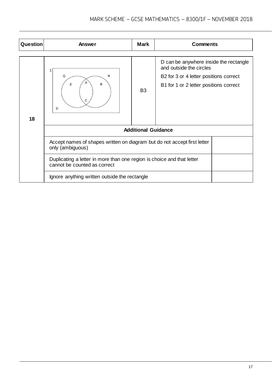| <b>Question</b> | Answer                                                                                                 | <b>Mark</b>                | <b>Comments</b>                                                                                                                                       |  |  |  |  |  |  |
|-----------------|--------------------------------------------------------------------------------------------------------|----------------------------|-------------------------------------------------------------------------------------------------------------------------------------------------------|--|--|--|--|--|--|
| 18              | ξ<br>Q<br>R<br>B<br>Ε<br>C<br>D                                                                        | B <sub>3</sub>             | D can be anywhere inside the rectangle<br>and outside the circles<br>B2 for 3 or 4 letter positions correct<br>B1 for 1 or 2 letter positions correct |  |  |  |  |  |  |
|                 |                                                                                                        | <b>Additional Guidance</b> |                                                                                                                                                       |  |  |  |  |  |  |
|                 | Accept names of shapes written on diagram but do not accept first letter<br>only (ambiguous)           |                            |                                                                                                                                                       |  |  |  |  |  |  |
|                 | Duplicating a letter in more than one region is choice and that letter<br>cannot be counted as correct |                            |                                                                                                                                                       |  |  |  |  |  |  |
|                 | Ignore anything written outside the rectangle                                                          |                            |                                                                                                                                                       |  |  |  |  |  |  |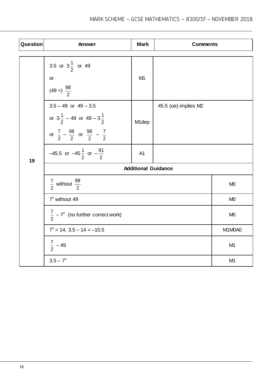| Question | Answer                                                                                                                                       | <b>Comments</b>    |                      |  |  |  |  |  |  |  |
|----------|----------------------------------------------------------------------------------------------------------------------------------------------|--------------------|----------------------|--|--|--|--|--|--|--|
|          | 3.5 or $3\frac{1}{2}$ or 49<br>or<br>$(49 = ) \frac{98}{2}$                                                                                  | M <sub>1</sub>     |                      |  |  |  |  |  |  |  |
|          | $3.5 - 49$ or $49 - 3.5$<br>or $3\frac{1}{2}$ – 49 or 49 – $3\frac{1}{2}$<br>or $\frac{7}{2} - \frac{98}{2}$ or $\frac{98}{2} - \frac{7}{2}$ | M <sub>1</sub> dep | 45.5 (oe) implies M2 |  |  |  |  |  |  |  |
| 19       | -45.5 or -45 $\frac{1}{2}$ or $-\frac{91}{2}$                                                                                                | A <sub>1</sub>     |                      |  |  |  |  |  |  |  |
|          | <b>Additional Guidance</b>                                                                                                                   |                    |                      |  |  |  |  |  |  |  |
|          | $\frac{7}{2}$ without $\frac{98}{2}$                                                                                                         | M <sub>0</sub>     |                      |  |  |  |  |  |  |  |
|          | $7^2$ without 49                                                                                                                             | M <sub>0</sub>     |                      |  |  |  |  |  |  |  |
|          | $\frac{7}{2}$ – $7^2$ (no further correct work)                                                                                              | M <sub>0</sub>     |                      |  |  |  |  |  |  |  |
|          | $7^2$ = 14, 3.5 – 14 = –10.5                                                                                                                 |                    | M1M0A0               |  |  |  |  |  |  |  |
|          | $\frac{7}{2}$ – 49                                                                                                                           |                    | M <sub>1</sub>       |  |  |  |  |  |  |  |
|          | $3.5 - 7^2$<br>M <sub>1</sub>                                                                                                                |                    |                      |  |  |  |  |  |  |  |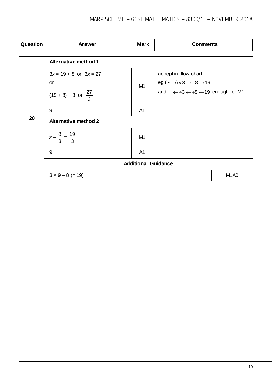| Question | Answer                                                                         | <b>Mark</b>                   | <b>Comments</b>                                                                                                                                            |  |  |  |  |  |  |
|----------|--------------------------------------------------------------------------------|-------------------------------|------------------------------------------------------------------------------------------------------------------------------------------------------------|--|--|--|--|--|--|
|          | <b>Alternative method 1</b>                                                    |                               |                                                                                                                                                            |  |  |  |  |  |  |
|          | $3x = 19 + 8$ or $3x = 27$<br><b>or</b><br>$(19 + 8) \div 3$ or $\frac{27}{3}$ | M1                            | accept in 'flow chart'<br>eg $(x \rightarrow) \times 3 \rightarrow -8 \rightarrow 19$<br>and $\leftarrow \div 3 \leftarrow +8 \leftarrow 19$ enough for M1 |  |  |  |  |  |  |
|          | 9                                                                              | A <sub>1</sub>                |                                                                                                                                                            |  |  |  |  |  |  |
| 20       | <b>Alternative method 2</b>                                                    |                               |                                                                                                                                                            |  |  |  |  |  |  |
|          | $x - \frac{8}{3} = \frac{19}{3}$                                               | M <sub>1</sub>                |                                                                                                                                                            |  |  |  |  |  |  |
|          | 9                                                                              | A <sub>1</sub>                |                                                                                                                                                            |  |  |  |  |  |  |
|          | <b>Additional Guidance</b>                                                     |                               |                                                                                                                                                            |  |  |  |  |  |  |
|          | $3 \times 9 - 8 (= 19)$                                                        | M <sub>1</sub> A <sub>0</sub> |                                                                                                                                                            |  |  |  |  |  |  |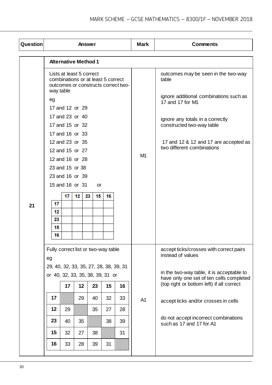| <b>Question</b> |                                              |                 | Answer                                                         |          |    |                                     | <b>Mark</b>    | <b>Comments</b>                                                                       |
|-----------------|----------------------------------------------|-----------------|----------------------------------------------------------------|----------|----|-------------------------------------|----------------|---------------------------------------------------------------------------------------|
|                 |                                              |                 | <b>Alternative Method 1</b>                                    |          |    |                                     |                |                                                                                       |
|                 | way table                                    |                 | Lists at least 5 correct<br>combinations or at least 5 correct |          |    | outcomes or constructs correct two- |                | outcomes may be seen in the two-way<br>table                                          |
|                 | eg                                           |                 | 17 and 12 or 29                                                |          |    |                                     |                | ignore additional combinations such as<br>17 and 17 for M1                            |
|                 |                                              |                 | 17 and 23 or 40<br>17 and 15 or 32<br>17 and 16 or 33          |          |    |                                     |                | ignore any totals in a correctly<br>constructed two-way table                         |
|                 |                                              |                 | 12 and 23 or 35<br>12 and 15 or 27                             |          |    |                                     | M <sub>1</sub> | 17 and 12 & 12 and 17 are accepted as<br>two different combinations                   |
|                 |                                              | 23 and 15 or 38 | 12 and 16 or 28                                                |          |    |                                     |                |                                                                                       |
|                 |                                              |                 | 23 and 16 or 39                                                |          |    |                                     |                |                                                                                       |
|                 |                                              |                 | 15 and 16 or 31                                                | or       |    |                                     |                |                                                                                       |
| 21              | 17<br>12<br>23<br>15<br>16                   | 17              | 12                                                             | 23<br>15 | 16 |                                     |                |                                                                                       |
|                 | Fully correct list or two-way table          |                 |                                                                |          |    |                                     |                | accept ticks/crosses with correct pairs<br>instead of values                          |
|                 | eg<br>29, 40, 32, 33, 35, 27, 28, 38, 39, 31 |                 |                                                                |          |    |                                     |                |                                                                                       |
|                 | or 40, 32, 33, 35, 38, 39, 31 or             |                 |                                                                |          |    |                                     |                | in the two-way table, it is acceptable to<br>have only one set of ten cells completed |
|                 |                                              | 17              | 12                                                             | 23       | 15 | 16                                  |                | (top right or bottom left) if all correct                                             |
|                 | 17                                           |                 | 29                                                             | 40       | 32 | 33                                  | A <sub>1</sub> | accept ticks and/or crosses in cells                                                  |
|                 | 12                                           | 29              |                                                                | 35       | 27 | 28                                  |                |                                                                                       |
|                 | 23                                           | 40              | 35                                                             |          | 38 | 39                                  |                | do not accept incorrect combinations<br>such as 17 and 17 for A1                      |
|                 | 15                                           | 32              | 27                                                             | 38       |    | 31                                  |                |                                                                                       |
|                 | 16                                           | 33              | 28                                                             | 39       | 31 |                                     |                |                                                                                       |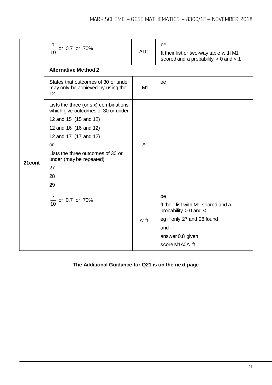|        | $\frac{7}{10}$ or 0.7 or 70%<br><b>Alternative Method 2</b>                                                                                                                                                                                    | A <sub>1ft</sub> | <b>oe</b><br>ft their list or two-way table with M1<br>scored and a probability $> 0$ and $< 1$                                                   |
|--------|------------------------------------------------------------------------------------------------------------------------------------------------------------------------------------------------------------------------------------------------|------------------|---------------------------------------------------------------------------------------------------------------------------------------------------|
|        | States that outcomes of 30 or under<br>may only be achieved by using the<br>12                                                                                                                                                                 | M1               | <b>oe</b>                                                                                                                                         |
| 21cont | Lists the three (or six) combinations<br>which give outcomes of 30 or under<br>12 and 15 (15 and 12)<br>12 and 16 (16 and 12)<br>12 and 17 (17 and 12)<br>or<br>Lists the three outcomes of 30 or<br>under (may be repeated)<br>27<br>28<br>29 | A <sub>1</sub>   |                                                                                                                                                   |
|        | $\frac{7}{10}$ or 0.7 or 70%                                                                                                                                                                                                                   | A <sub>1ft</sub> | œ<br>ft their list with M1 scored and a<br>probability $> 0$ and $< 1$<br>eg if only 27 and 28 found<br>and<br>answer 0.8 given<br>score M1A0A1ft |

### **The Additional Guidance for Q21 is on the next page**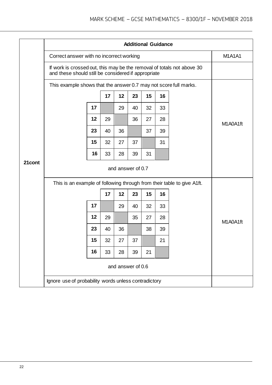|        |                                                                                                                               | <b>Additional Guidance</b>                                             |    |                   |    |    |    |          |  |  |  |  |
|--------|-------------------------------------------------------------------------------------------------------------------------------|------------------------------------------------------------------------|----|-------------------|----|----|----|----------|--|--|--|--|
|        | Correct answer with no incorrect working                                                                                      | M <sub>1</sub> A <sub>1</sub> A <sub>1</sub>                           |    |                   |    |    |    |          |  |  |  |  |
|        | If work is crossed out, this may be the removal of totals not above 30<br>and these should still be considered if appropriate |                                                                        |    |                   |    |    |    |          |  |  |  |  |
|        | This example shows that the answer 0.7 may not score full marks.                                                              |                                                                        |    |                   |    |    |    |          |  |  |  |  |
|        |                                                                                                                               |                                                                        | 17 | 12                | 23 | 15 | 16 |          |  |  |  |  |
|        |                                                                                                                               | 17                                                                     |    | 29                | 40 | 32 | 33 |          |  |  |  |  |
|        |                                                                                                                               | 12                                                                     | 29 |                   | 36 | 27 | 28 | M1A0A1ft |  |  |  |  |
|        |                                                                                                                               | 23                                                                     | 40 | 36                |    | 37 | 39 |          |  |  |  |  |
|        |                                                                                                                               | 15                                                                     | 32 | 27                | 37 |    | 31 |          |  |  |  |  |
|        |                                                                                                                               | 16                                                                     | 33 | 28                | 39 | 31 |    |          |  |  |  |  |
| 21cont |                                                                                                                               |                                                                        |    |                   |    |    |    |          |  |  |  |  |
|        |                                                                                                                               | This is an example of following through from their table to give A1ft. |    |                   |    |    |    |          |  |  |  |  |
|        |                                                                                                                               |                                                                        | 17 | 12                | 23 | 15 | 16 |          |  |  |  |  |
|        |                                                                                                                               | 17                                                                     |    | 29                | 40 | 32 | 33 |          |  |  |  |  |
|        |                                                                                                                               | 12                                                                     | 29 |                   | 35 | 27 | 28 | M1A0A1ft |  |  |  |  |
|        |                                                                                                                               | 23                                                                     | 40 | 36                |    | 38 | 39 |          |  |  |  |  |
|        |                                                                                                                               | 15                                                                     | 32 | 27                | 37 |    | 21 |          |  |  |  |  |
|        |                                                                                                                               | 16                                                                     | 33 | 28                | 39 | 21 |    |          |  |  |  |  |
|        |                                                                                                                               |                                                                        |    | and answer of 0.6 |    |    |    |          |  |  |  |  |
|        | Ignore use of probability words unless contradictory                                                                          |                                                                        |    |                   |    |    |    |          |  |  |  |  |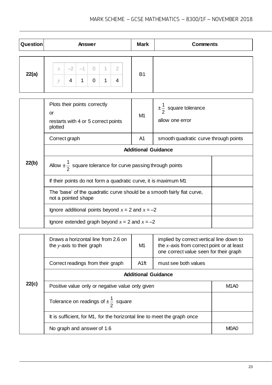| Question |                    |           | Answer                               |   |   |                     | <b>Mark</b>    | <b>Comments</b> |
|----------|--------------------|-----------|--------------------------------------|---|---|---------------------|----------------|-----------------|
| 22(a)    | $\mathcal X$<br>V) | $-2$<br>4 | - 1<br>$\overline{\phantom{a}}$<br>× | 0 | n | $\overline{2}$<br>4 | B <sub>1</sub> |                 |

|       | Plots their points correctly<br>or<br>restarts with 4 or 5 correct points<br>plotted           | M1             | $\pm\frac{1}{2}$ square tolerance<br>allow one error |  |
|-------|------------------------------------------------------------------------------------------------|----------------|------------------------------------------------------|--|
|       | Correct graph                                                                                  | A <sub>1</sub> | smooth quadratic curve through points                |  |
|       | <b>Additional Guidance</b>                                                                     |                |                                                      |  |
| 22(b) | Allow $\pm \frac{1}{2}$ square tolerance for curve passing through points                      |                |                                                      |  |
|       | If their points do not form a quadratic curve, it is maximum M1                                |                |                                                      |  |
|       | The 'base' of the quadratic curve should be a smooth fairly flat curve,<br>not a pointed shape |                |                                                      |  |
|       | Ignore additional points beyond $x = 2$ and $x = -2$                                           |                |                                                      |  |
|       | Ignore extended graph beyond $x = 2$ and $x = -2$                                              |                |                                                      |  |

|       | Draws a horizontal line from 2.6 on<br>the y-axis to their graph         | M1               | implied by correct vertical line down to<br>the $x$ -axis from correct point or at least<br>one correct value seen for their graph |                               |
|-------|--------------------------------------------------------------------------|------------------|------------------------------------------------------------------------------------------------------------------------------------|-------------------------------|
|       | Correct readings from their graph                                        | A <sub>1ft</sub> | must see both values                                                                                                               |                               |
|       | <b>Additional Guidance</b>                                               |                  |                                                                                                                                    |                               |
| 22(c) | Positive value only or negative value only given                         |                  |                                                                                                                                    | M <sub>1</sub> A <sub>0</sub> |
|       | Tolerance on readings of $\pm \frac{1}{2}$ square                        |                  |                                                                                                                                    |                               |
|       | It is sufficient, for M1, for the horizontal line to meet the graph once |                  |                                                                                                                                    |                               |
|       | No graph and answer of 1.6                                               |                  |                                                                                                                                    | M0A0                          |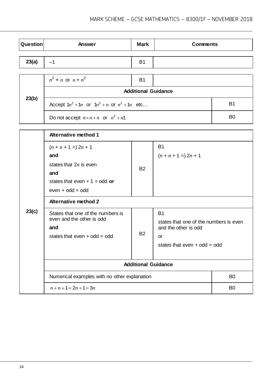| Question | Answer                                             | <b>Mark</b> | <b>Comments</b>      |                |
|----------|----------------------------------------------------|-------------|----------------------|----------------|
| 23(a)    | $-1$                                               | <b>B1</b>   |                      |                |
|          | $n^2 + n$ or $n + n^2$                             | <b>B1</b>   |                      |                |
|          | <b>Additional Guidance</b>                         |             |                      |                |
| 23(b)    | Accept $1n^2 + 1n$ or $1n^2 + n$ or $n^2 + 1n$ etc |             |                      |                |
|          | Do not accept $n \times n + n$ or $n^2 + n1$       |             |                      | B <sub>0</sub> |
|          |                                                    |             |                      |                |
|          | <b>Alternative method 1</b>                        |             |                      |                |
|          | <b>B1</b><br>$(n + n + 1) = 2n + 1$                |             |                      |                |
|          | and                                                |             | $(n + n + 1) 2n + 1$ |                |

|       | $(n + n + 1) = 2n + 1$<br>and<br>states that $2n$ is even<br>and | <b>B2</b> | В1<br>$(n + n + 1 = 2n + 1)$                                   |                |
|-------|------------------------------------------------------------------|-----------|----------------------------------------------------------------|----------------|
|       | states that even $+1 =$ odd or<br>$even + odd = odd$             |           |                                                                |                |
|       | <b>Alternative method 2</b>                                      |           |                                                                |                |
| 23(c) | States that one of the numbers is<br>even and the other is odd   |           | <b>B1</b>                                                      |                |
|       | and                                                              | <b>B2</b> | states that one of the numbers is even<br>and the other is odd |                |
|       | states that even $+$ odd = odd                                   |           | or                                                             |                |
|       |                                                                  |           | states that even $+$ odd = odd                                 |                |
|       | <b>Additional Guidance</b>                                       |           |                                                                |                |
|       | Numerical examples with no other explanation                     |           |                                                                | B <sub>0</sub> |
|       | $n+n+1=2n+1=3n$                                                  |           |                                                                | B <sub>0</sub> |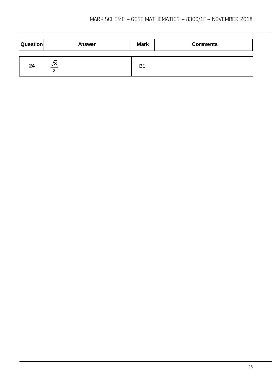| <b>Question</b> | Answer                   | <b>Mark</b>    | <b>Comments</b> |
|-----------------|--------------------------|----------------|-----------------|
| 24              | $\sqrt{3}$<br>$\sqrt{2}$ | B <sub>1</sub> |                 |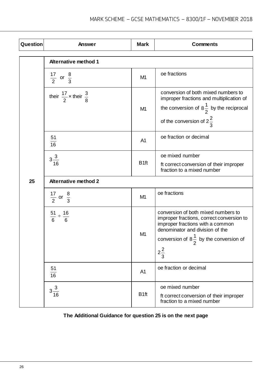| Question | Answer                                     | <b>Mark</b>      | <b>Comments</b>                                                                                                                                                                                              |
|----------|--------------------------------------------|------------------|--------------------------------------------------------------------------------------------------------------------------------------------------------------------------------------------------------------|
|          | <b>Alternative method 1</b>                |                  |                                                                                                                                                                                                              |
|          | $\frac{17}{2}$ or $\frac{8}{3}$            | M <sub>1</sub>   | oe fractions                                                                                                                                                                                                 |
|          | their $\frac{17}{2}$ x their $\frac{3}{8}$ | M <sub>1</sub>   | conversion of both mixed numbers to<br>improper fractions and multiplication of<br>the conversion of $8\frac{1}{2}$ by the reciprocal<br>of the conversion of $2\frac{2}{3}$                                 |
|          | 51<br>$\overline{16}$                      | A <sub>1</sub>   | oe fraction or decimal                                                                                                                                                                                       |
|          | $3\frac{3}{16}$                            | B <sub>1ft</sub> | oe mixed number<br>ft correct conversion of their improper<br>fraction to a mixed number                                                                                                                     |
| 25       | <b>Alternative method 2</b>                |                  |                                                                                                                                                                                                              |
|          | $\frac{17}{2}$ or $\frac{8}{3}$            | M <sub>1</sub>   | oe fractions                                                                                                                                                                                                 |
|          | $\frac{51}{6} \div \frac{16}{6}$           | M <sub>1</sub>   | conversion of both mixed numbers to<br>improper fractions, correct conversion to<br>improper fractions with a common<br>denominator and division of the<br>conversion of $8\frac{1}{6}$ by the conversion of |
|          |                                            |                  | ۷<br>$2\frac{2}{3}$                                                                                                                                                                                          |
|          | 51<br>16                                   | A <sub>1</sub>   | oe fraction or decimal                                                                                                                                                                                       |
|          | $3\frac{3}{16}$                            | B <sub>1ft</sub> | oe mixed number<br>ft correct conversion of their improper<br>fraction to a mixed number                                                                                                                     |

## **The Additional Guidance for question 25 is on the next page**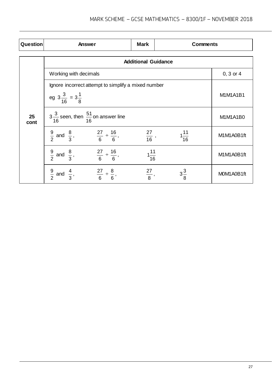| Question   | Answer                                                                  | <b>Mark</b>                | <b>Comments</b>  |               |
|------------|-------------------------------------------------------------------------|----------------------------|------------------|---------------|
|            |                                                                         | <b>Additional Guidance</b> |                  |               |
|            | Working with decimals                                                   |                            |                  | $0, 3$ or $4$ |
|            | Ignore incorrect attempt to simplify a mixed number                     |                            |                  |               |
|            | eg $3\frac{3}{16} = 3\frac{1}{8}$                                       |                            |                  | M1M1A1B1      |
| 25<br>cont | $3\frac{3}{16}$ seen, then $\frac{51}{16}$ on answer line               |                            | M1M1A1B0         |               |
|            | $\frac{9}{2}$ and $\frac{8}{3}$ , $\frac{27}{6} \div \frac{16}{6}$ ,    | $rac{27}{16}$ ,            | $1\frac{11}{16}$ | M1M1A0B1ft    |
|            | $\frac{9}{2}$ and $\frac{8}{3}$ ,<br>$\frac{27}{6} \div \frac{16}{6}$ , | $1\frac{11}{16}$           |                  | M1M1A0B1ft    |
|            | $\frac{9}{2}$ and $\frac{4}{3}$ ,<br>$\frac{27}{6} \div \frac{8}{6}$    | $\frac{27}{8},$            | $3\frac{3}{8}$   | MOM1A0B1ft    |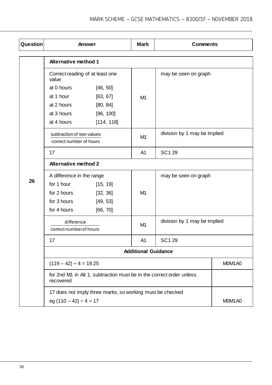| Question |                                                      | Answer                                                               | <b>Mark</b>                                    | <b>Comments</b>              |                     |
|----------|------------------------------------------------------|----------------------------------------------------------------------|------------------------------------------------|------------------------------|---------------------|
|          | <b>Alternative method 1</b>                          |                                                                      |                                                |                              |                     |
|          | Correct reading of at least one<br>value             |                                                                      |                                                | may be seen on graph         |                     |
|          | at 0 hours                                           | [46, 50]                                                             |                                                |                              |                     |
|          | at 1 hour                                            | [63, 67]                                                             | M <sub>1</sub>                                 |                              |                     |
|          | at 2 hours                                           | [80, 84]                                                             |                                                |                              |                     |
|          | at 3 hours                                           | [96, 100]                                                            |                                                |                              |                     |
|          | at 4 hours                                           | [114, 118]                                                           |                                                |                              |                     |
|          | subtraction of two values<br>correct number of hours |                                                                      | division by 1 may be implied<br>M <sub>1</sub> |                              |                     |
|          | 17                                                   |                                                                      | A <sub>1</sub>                                 | <b>SC129</b>                 |                     |
|          | <b>Alternative method 2</b>                          |                                                                      |                                                |                              |                     |
|          | A difference in the range                            |                                                                      |                                                | may be seen on graph         |                     |
| 26       | for 1 hour                                           | [15, 19]                                                             |                                                |                              |                     |
|          | for 2 hours                                          | [32, 36]                                                             | M <sub>1</sub>                                 |                              |                     |
|          | for 3 hours                                          | [49, 53]                                                             |                                                |                              |                     |
|          | for 4 hours                                          | [66, 70]                                                             |                                                |                              |                     |
|          | difference<br>correct number of hours                |                                                                      | M <sub>1</sub>                                 | division by 1 may be implied |                     |
|          | 17                                                   |                                                                      | A1                                             | SC1 29                       |                     |
|          |                                                      |                                                                      | <b>Additional Guidance</b>                     |                              |                     |
|          | $(119 - 42) \div 4 = 19.25$                          |                                                                      |                                                |                              | MOM <sub>1</sub> A0 |
|          | recovered                                            | for 2nd M1 in Alt 1, subtraction must be in the correct order unless |                                                |                              |                     |
|          | eg $(110 - 42) \div 4 = 17$                          | 17 does not imply three marks, so working must be checked            |                                                |                              | MOM <sub>1</sub> A0 |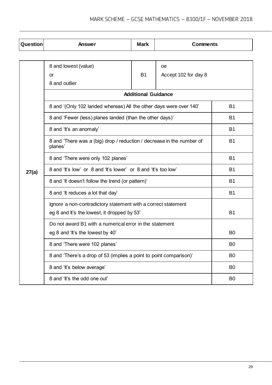| Question | Answer                                                                           | <b>Mark</b> | <b>Comments</b>      |                |
|----------|----------------------------------------------------------------------------------|-------------|----------------------|----------------|
|          |                                                                                  |             |                      |                |
|          | 8 and lowest (value)                                                             |             | œ                    |                |
|          | or                                                                               | <b>B1</b>   | Accept 102 for day 8 |                |
|          | 8 and outlier                                                                    |             |                      |                |
|          | <b>Additional Guidance</b>                                                       |             |                      |                |
|          | 8 and '(Only 102 landed whereas) All the other days were over 140'               | B1          |                      |                |
|          | 8 and 'Fewer (less) planes landed (than the other days)'                         |             |                      | <b>B1</b>      |
|          | 8 and 'It's an anomaly'                                                          |             |                      | <b>B1</b>      |
|          | 8 and 'There was a (big) drop / reduction / decrease in the number of<br>planes' | <b>B1</b>   |                      |                |
|          | 8 and 'There were only 102 planes'                                               |             | <b>B1</b>            |                |
| 27(a)    | 8 and 'It's low' or 8 and 'It's lower' or 8 and 'It's too low'                   |             | <b>B1</b>            |                |
|          | 8 and 'It doesn't follow the trend (or pattern)'                                 | <b>B1</b>   |                      |                |
|          | 8 and 'It reduces a lot that day'                                                |             |                      | <b>B1</b>      |
|          | Ignore a non-contradictory statement with a correct statement                    |             |                      |                |
|          | eg 8 and It's the lowest, it dropped by 53'                                      |             |                      | <b>B1</b>      |
|          | Do not award B1 with a numerical error in the statement                          |             |                      |                |
|          | eg 8 and 'It's the lowest by 40'                                                 |             |                      | B <sub>0</sub> |
|          | 8 and 'There were 102 planes'                                                    |             |                      | B <sub>0</sub> |
|          | 8 and 'There's a drop of 53 (implies a point to point comparison)'               |             |                      | B <sub>0</sub> |
|          | 8 and 'It's below average'                                                       |             |                      | B <sub>0</sub> |
|          | 8 and 'It's the odd one out'                                                     |             |                      | B <sub>0</sub> |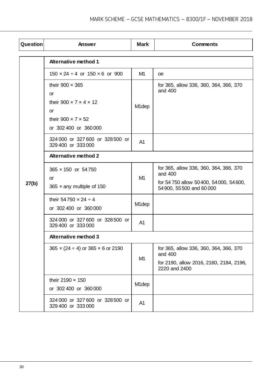| Question | Answer                                                    | <b>Mark</b>        | <b>Comments</b>                                                       |  |  |
|----------|-----------------------------------------------------------|--------------------|-----------------------------------------------------------------------|--|--|
|          | <b>Alternative method 1</b>                               |                    |                                                                       |  |  |
|          | $150 \times 24 \div 4$ or $150 \times 6$ or 900           | M1                 | 0e                                                                    |  |  |
|          | their $900 \times 365$<br>or                              |                    | for 365, allow 336, 360, 364, 366, 370<br>and 400                     |  |  |
|          | their $900 \times 7 \times 4 \times 12$<br><b>or</b>      | M <sub>1</sub> dep |                                                                       |  |  |
|          | their $900 \times 7 \times 52$<br>or 302 400 or 360 000   |                    |                                                                       |  |  |
|          | 324 000 or 327 600 or 328 500 or<br>329 400 or 333 000    | A <sub>1</sub>     |                                                                       |  |  |
|          | <b>Alternative method 2</b>                               |                    |                                                                       |  |  |
|          | 365 × 150 or 54750<br>or                                  | M1                 | for 365, allow 336, 360, 364, 366, 370<br>and 400                     |  |  |
| 27(b)    | 365 $\times$ any multiple of 150                          |                    | for 54 750 allow 50 400, 54 000, 54 600,<br>54 900, 55 500 and 60 000 |  |  |
|          | their 54750 $\times$ 24 $\div$ 4<br>or 302 400 or 360 000 | M <sub>1</sub> dep |                                                                       |  |  |
|          | 324 000 or 327 600 or 328 500 or<br>329 400 or 333 000    | A <sub>1</sub>     |                                                                       |  |  |
|          | <b>Alternative method 3</b>                               |                    |                                                                       |  |  |
|          | $365 \times (24 \div 4)$ or $365 \times 6$ or 2190        | M1                 | for 365, allow 336, 360, 364, 366, 370<br>and 400                     |  |  |
|          |                                                           |                    | for 2190, allow 2016, 2160, 2184, 2196,<br>2220 and 2400              |  |  |
|          | their 2190 $\times$ 150<br>or 302 400 or 360 000          | M <sub>1</sub> dep |                                                                       |  |  |
|          | 324 000 or 327 600 or 328 500 or<br>329 400 or 333 000    | A <sub>1</sub>     |                                                                       |  |  |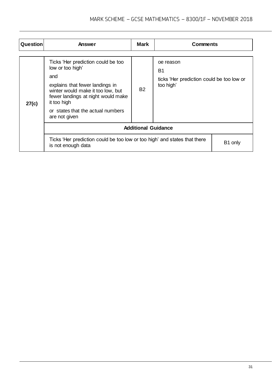| <b>Question</b> | Answer                                                                                                                                                                                                                                           | Mark                       | <b>Comments</b>                                                           |         |
|-----------------|--------------------------------------------------------------------------------------------------------------------------------------------------------------------------------------------------------------------------------------------------|----------------------------|---------------------------------------------------------------------------|---------|
| 27(c)           | Ticks 'Her prediction could be too<br>low or too high'<br>and<br>explains that fewer landings in<br>winter would make it too low, but<br>fewer landings at night would make<br>it too high<br>or states that the actual numbers<br>are not given | <b>B2</b>                  | oe reason<br>B1<br>ticks 'Her prediction could be too low or<br>too high' |         |
|                 |                                                                                                                                                                                                                                                  | <b>Additional Guidance</b> |                                                                           |         |
|                 | Ticks 'Her prediction could be too low or too high' and states that there<br>is not enough data                                                                                                                                                  |                            |                                                                           | B1 only |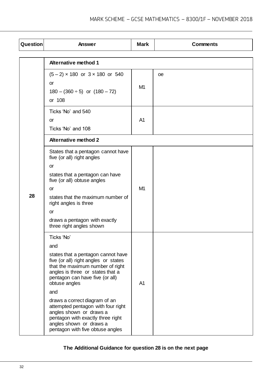| Question | Answer                                                                                                                                                                                                                                                                                                                                                                                                                                   | <b>Mark</b>    | <b>Comments</b> |
|----------|------------------------------------------------------------------------------------------------------------------------------------------------------------------------------------------------------------------------------------------------------------------------------------------------------------------------------------------------------------------------------------------------------------------------------------------|----------------|-----------------|
|          | <b>Alternative method 1</b>                                                                                                                                                                                                                                                                                                                                                                                                              |                |                 |
|          | $(5-2) \times 180$ or $3 \times 180$ or 540<br>or<br>$180 - (360 \div 5)$ or $(180 - 72)$<br>or 108                                                                                                                                                                                                                                                                                                                                      | M <sub>1</sub> | <sub>0e</sub>   |
|          | Ticks 'No' and 540<br>or<br>Ticks 'No' and 108                                                                                                                                                                                                                                                                                                                                                                                           | A <sub>1</sub> |                 |
|          | <b>Alternative method 2</b>                                                                                                                                                                                                                                                                                                                                                                                                              |                |                 |
| 28       | States that a pentagon cannot have<br>five (or all) right angles<br><b>or</b><br>states that a pentagon can have<br>five (or all) obtuse angles<br><b>or</b><br>states that the maximum number of<br>right angles is three<br><b>or</b><br>draws a pentagon with exactly<br>three right angles shown                                                                                                                                     | M <sub>1</sub> |                 |
|          | Ticks 'No'<br>and<br>states that a pentagon cannot have<br>five (or all) right angles or states<br>that the maximum number of right<br>angles is three or states that a<br>pentagon can have five (or all)<br>obtuse angles<br>and<br>draws a correct diagram of an<br>attempted pentagon with four right<br>angles shown or draws a<br>pentagon with exactly three right<br>angles shown or draws a<br>pentagon with five obtuse angles | A <sub>1</sub> |                 |

**The Additional Guidance for question 28 is on the next page**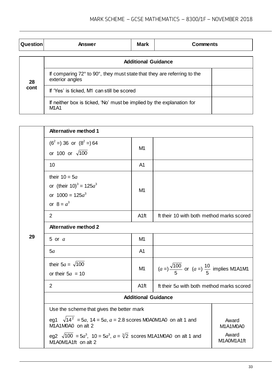| Question   | Answer                                                                                     | Mark | <b>Comments</b> |  |  |
|------------|--------------------------------------------------------------------------------------------|------|-----------------|--|--|
|            | <b>Additional Guidance</b>                                                                 |      |                 |  |  |
| 28<br>cont | If comparing 72° to 90°, they must state that they are referring to the<br>exterior angles |      |                 |  |  |
|            | If 'Yes' is ticked, M1 can still be scored                                                 |      |                 |  |  |
|            | If neither box is ticked, 'No' must be implied by the explanation for<br><b>M1A1</b>       |      |                 |  |  |

|    | <b>Alternative method 1</b>                                                                                                       |                  |                                                                     |                     |  |
|----|-----------------------------------------------------------------------------------------------------------------------------------|------------------|---------------------------------------------------------------------|---------------------|--|
| 29 | $(6^2 = 36$ or $(8^2 = 64$<br>or 100 or $\sqrt{100}$                                                                              | M1               |                                                                     |                     |  |
|    | 10                                                                                                                                | A <sub>1</sub>   |                                                                     |                     |  |
|    | their $10 = 5a$<br>or (their $10^3 = 125a^3$<br>or $1000 = 125a^3$<br>or $8 = a^3$                                                | M <sub>1</sub>   |                                                                     |                     |  |
|    | 2                                                                                                                                 | A <sub>1ft</sub> | ft their 10 with both method marks scored                           |                     |  |
|    | <b>Alternative method 2</b>                                                                                                       |                  |                                                                     |                     |  |
|    | 5 or $a$                                                                                                                          | M1               |                                                                     |                     |  |
|    | 5a                                                                                                                                | A <sub>1</sub>   |                                                                     |                     |  |
|    | their $5a = \sqrt{100}$<br>or their $5a = 10$                                                                                     | M1               | $(a = )\frac{\sqrt{100}}{5}$ or $(a = )\frac{10}{5}$ implies M1A1M1 |                     |  |
|    | 2                                                                                                                                 | A <sub>1ft</sub> | ft their 5a with both method marks scored                           |                     |  |
|    | <b>Additional Guidance</b>                                                                                                        |                  |                                                                     |                     |  |
|    | Use the scheme that gives the better mark                                                                                         |                  |                                                                     |                     |  |
|    | eg1 $\sqrt{14^2}$ = 5a, 14 = 5a, a = 2.8 scores M0A0M1A0 on alt 1 and<br>M1A1M0A0 on alt 2                                        |                  |                                                                     | Award<br>M1A1M0A0   |  |
|    | eg2 $\sqrt{100}$ = 5a <sup>3</sup> , 10 = 5a <sup>3</sup> , a = $\sqrt[3]{2}$ scores M1A1M0A0 on alt 1 and<br>M1A0M1A1ft on alt 2 |                  |                                                                     | Award<br>M1A0M1A1ft |  |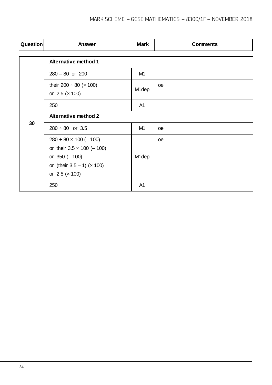| Question | Answer                                                                                                                                                      | <b>Mark</b>        | <b>Comments</b> |  |
|----------|-------------------------------------------------------------------------------------------------------------------------------------------------------------|--------------------|-----------------|--|
| 30       | <b>Alternative method 1</b>                                                                                                                                 |                    |                 |  |
|          | $280 - 80$ or $200$                                                                                                                                         | M1                 |                 |  |
|          | their 200 $\div$ 80 ( $\times$ 100)<br>or $2.5$ ( $\times$ 100)                                                                                             | M <sub>1</sub> dep | <sub>oe</sub>   |  |
|          | 250                                                                                                                                                         | A <sub>1</sub>     |                 |  |
|          | <b>Alternative method 2</b>                                                                                                                                 |                    |                 |  |
|          | $280 \div 80$ or 3.5                                                                                                                                        | M1                 | <b>oe</b>       |  |
|          | $280 \div 80 \times 100 (-100)$<br>or their $3.5 \times 100 (-100)$<br>or $350 (-100)$<br>or (their $3.5 - 1$ ) ( $\times$ 100)<br>or $2.5$ ( $\times$ 100) | M <sub>1</sub> dep | <sub>oe</sub>   |  |
|          | 250                                                                                                                                                         | A <sub>1</sub>     |                 |  |